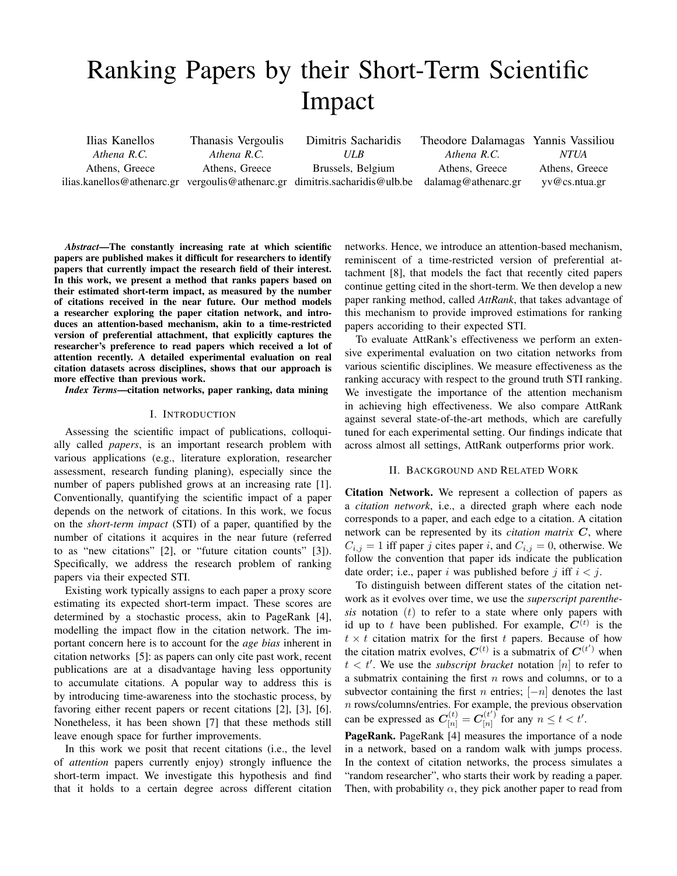# Ranking Papers by their Short-Term Scientific Impact

| Ilias Kanellos             | Thanasis Vergoulis | Dimitris Sacharidis                              | Theodore Dalamagas Yannis Vassiliou |                |
|----------------------------|--------------------|--------------------------------------------------|-------------------------------------|----------------|
| Athena R.C.                | Athena R.C.        | ULB-                                             | Athena R.C.                         | NTUA           |
| Athens. Greece             | Athens, Greece     | Brussels, Belgium                                | Athens, Greece                      | Athens, Greece |
| ilias.kanellos@athenarc.gr |                    | vergoulis@athenarc.gr dimitris.sacharidis@ulb.be | dalamag@athenarc.gr                 | vv@cs.ntua.gr  |

*Abstract*—The constantly increasing rate at which scientific papers are published makes it difficult for researchers to identify papers that currently impact the research field of their interest. In this work, we present a method that ranks papers based on their estimated short-term impact, as measured by the number of citations received in the near future. Our method models a researcher exploring the paper citation network, and introduces an attention-based mechanism, akin to a time-restricted version of preferential attachment, that explicitly captures the researcher's preference to read papers which received a lot of attention recently. A detailed experimental evaluation on real citation datasets across disciplines, shows that our approach is more effective than previous work.

*Index Terms*—citation networks, paper ranking, data mining

# I. INTRODUCTION

Assessing the scientific impact of publications, colloquially called *papers*, is an important research problem with various applications (e.g., literature exploration, researcher assessment, research funding planing), especially since the number of papers published grows at an increasing rate [1]. Conventionally, quantifying the scientific impact of a paper depends on the network of citations. In this work, we focus on the *short-term impact* (STI) of a paper, quantified by the number of citations it acquires in the near future (referred to as "new citations" [2], or "future citation counts" [3]). Specifically, we address the research problem of ranking papers via their expected STI.

Existing work typically assigns to each paper a proxy score estimating its expected short-term impact. These scores are determined by a stochastic process, akin to PageRank [4], modelling the impact flow in the citation network. The important concern here is to account for the *age bias* inherent in citation networks [5]: as papers can only cite past work, recent publications are at a disadvantage having less opportunity to accumulate citations. A popular way to address this is by introducing time-awareness into the stochastic process, by favoring either recent papers or recent citations [2], [3], [6]. Nonetheless, it has been shown [7] that these methods still leave enough space for further improvements.

In this work we posit that recent citations (i.e., the level of *attention* papers currently enjoy) strongly influence the short-term impact. We investigate this hypothesis and find that it holds to a certain degree across different citation networks. Hence, we introduce an attention-based mechanism, reminiscent of a time-restricted version of preferential attachment [8], that models the fact that recently cited papers continue getting cited in the short-term. We then develop a new paper ranking method, called *AttRank*, that takes advantage of this mechanism to provide improved estimations for ranking papers accoriding to their expected STI.

To evaluate AttRank's effectiveness we perform an extensive experimental evaluation on two citation networks from various scientific disciplines. We measure effectiveness as the ranking accuracy with respect to the ground truth STI ranking. We investigate the importance of the attention mechanism in achieving high effectiveness. We also compare AttRank against several state-of-the-art methods, which are carefully tuned for each experimental setting. Our findings indicate that across almost all settings, AttRank outperforms prior work.

## II. BACKGROUND AND RELATED WORK

Citation Network. We represent a collection of papers as a *citation network*, i.e., a directed graph where each node corresponds to a paper, and each edge to a citation. A citation network can be represented by its *citation matrix* C, where  $C_{i,j} = 1$  iff paper j cites paper i, and  $C_{i,j} = 0$ , otherwise. We follow the convention that paper ids indicate the publication date order; i.e., paper i was published before j iff  $i < j$ .

To distinguish between different states of the citation network as it evolves over time, we use the *superscript parenthesis* notation  $(t)$  to refer to a state where only papers with id up to t have been published. For example,  $C^{(t)}$  is the  $t \times t$  citation matrix for the first t papers. Because of how the citation matrix evolves,  $C^{(t)}$  is a submatrix of  $C^{(t')}$  when  $t < t'$ . We use the *subscript bracket* notation [n] to refer to a submatrix containing the first  $n$  rows and columns, or to a subvector containing the first n entries;  $[-n]$  denotes the last  $n$  rows/columns/entries. For example, the previous observation can be expressed as  $C_{[n]}^{(t)} = C_{[n]}^{(t')}$  $\sum_{n=1}^{(t)}$  for any  $n \leq t < t'$ .

PageRank. PageRank [4] measures the importance of a node in a network, based on a random walk with jumps process. In the context of citation networks, the process simulates a "random researcher", who starts their work by reading a paper. Then, with probability  $\alpha$ , they pick another paper to read from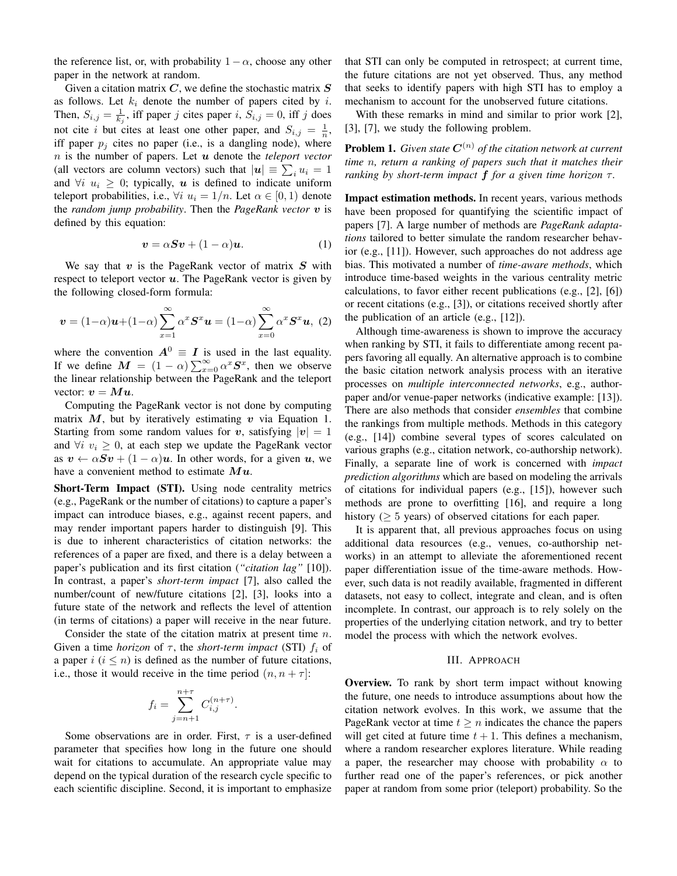the reference list, or, with probability  $1 - \alpha$ , choose any other paper in the network at random.

Given a citation matrix  $C$ , we define the stochastic matrix  $S$ as follows. Let  $k_i$  denote the number of papers cited by i. Then,  $S_{i,j} = \frac{1}{k_j}$ , iff paper j cites paper i,  $S_{i,j} = 0$ , iff j does not cite *i* but cites at least one other paper, and  $S_{i,j} = \frac{1}{n}$ , iff paper  $p_j$  cites no paper (i.e., is a dangling node), where  $n$  is the number of papers. Let  $u$  denote the *teleport vector* (all vectors are column vectors) such that  $|u| \equiv \sum_i u_i = 1$ and  $\forall i \ u_i \geq 0$ ; typically, u is defined to indicate uniform teleport probabilities, i.e.,  $\forall i \ u_i = 1/n$ . Let  $\alpha \in [0,1)$  denote the *random jump probability*. Then the *PageRank vector* v is defined by this equation:

$$
\mathbf{v} = \alpha \mathbf{S} \mathbf{v} + (1 - \alpha) \mathbf{u}.\tag{1}
$$

We say that  $v$  is the PageRank vector of matrix  $S$  with respect to teleport vector  $u$ . The PageRank vector is given by the following closed-form formula:

$$
\boldsymbol{v} = (1-\alpha)\boldsymbol{u} + (1-\alpha)\sum_{x=1}^{\infty} \alpha^x \boldsymbol{S}^x \boldsymbol{u} = (1-\alpha)\sum_{x=0}^{\infty} \alpha^x \boldsymbol{S}^x \boldsymbol{u}, \tag{2}
$$

where the convention  $A^0 \equiv I$  is used in the last equality. If we define  $M = (1 - \alpha) \sum_{x=0}^{\infty} \alpha^x S^x$ , then we observe the linear relationship between the PageRank and the teleport vector:  $v = Mu$ .

Computing the PageRank vector is not done by computing matrix  $M$ , but by iteratively estimating  $v$  via Equation 1. Starting from some random values for v, satisfying  $|v| = 1$ and  $\forall i$   $v_i \geq 0$ , at each step we update the PageRank vector as  $v \leftarrow \alpha Sv + (1 - \alpha)u$ . In other words, for a given u, we have a convenient method to estimate  $Mu$ .

Short-Term Impact (STI). Using node centrality metrics (e.g., PageRank or the number of citations) to capture a paper's impact can introduce biases, e.g., against recent papers, and may render important papers harder to distinguish [9]. This is due to inherent characteristics of citation networks: the references of a paper are fixed, and there is a delay between a paper's publication and its first citation (*"citation lag"* [10]). In contrast, a paper's *short-term impact* [7], also called the number/count of new/future citations [2], [3], looks into a future state of the network and reflects the level of attention (in terms of citations) a paper will receive in the near future.

Consider the state of the citation matrix at present time n. Given a time *horizon* of  $\tau$ , the *short-term impact* (STI)  $f_i$  of a paper i  $(i \leq n)$  is defined as the number of future citations, i.e., those it would receive in the time period  $(n, n + \tau]$ :

$$
f_i = \sum_{j=n+1}^{n+\tau} C_{i,j}^{(n+\tau)}.
$$

Some observations are in order. First,  $\tau$  is a user-defined parameter that specifies how long in the future one should wait for citations to accumulate. An appropriate value may depend on the typical duration of the research cycle specific to each scientific discipline. Second, it is important to emphasize that STI can only be computed in retrospect; at current time, the future citations are not yet observed. Thus, any method that seeks to identify papers with high STI has to employ a mechanism to account for the unobserved future citations.

With these remarks in mind and similar to prior work [2], [3], [7], we study the following problem.

**Problem 1.** *Given state*  $C^{(n)}$  *of the citation network at current time* n*, return a ranking of papers such that it matches their ranking by short-term impact*  $f$  *for a given time horizon*  $\tau$ *.* 

Impact estimation methods. In recent years, various methods have been proposed for quantifying the scientific impact of papers [7]. A large number of methods are *PageRank adaptations* tailored to better simulate the random researcher behavior (e.g., [11]). However, such approaches do not address age bias. This motivated a number of *time-aware methods*, which introduce time-based weights in the various centrality metric calculations, to favor either recent publications (e.g., [2], [6]) or recent citations (e.g., [3]), or citations received shortly after the publication of an article (e.g., [12]).

Although time-awareness is shown to improve the accuracy when ranking by STI, it fails to differentiate among recent papers favoring all equally. An alternative approach is to combine the basic citation network analysis process with an iterative processes on *multiple interconnected networks*, e.g., authorpaper and/or venue-paper networks (indicative example: [13]). There are also methods that consider *ensembles* that combine the rankings from multiple methods. Methods in this category (e.g., [14]) combine several types of scores calculated on various graphs (e.g., citation network, co-authorship network). Finally, a separate line of work is concerned with *impact prediction algorithms* which are based on modeling the arrivals of citations for individual papers (e.g., [15]), however such methods are prone to overfitting [16], and require a long history ( $\geq$  5 years) of observed citations for each paper.

It is apparent that, all previous approaches focus on using additional data resources (e.g., venues, co-authorship networks) in an attempt to alleviate the aforementioned recent paper differentiation issue of the time-aware methods. However, such data is not readily available, fragmented in different datasets, not easy to collect, integrate and clean, and is often incomplete. In contrast, our approach is to rely solely on the properties of the underlying citation network, and try to better model the process with which the network evolves.

## III. APPROACH

Overview. To rank by short term impact without knowing the future, one needs to introduce assumptions about how the citation network evolves. In this work, we assume that the PageRank vector at time  $t \geq n$  indicates the chance the papers will get cited at future time  $t + 1$ . This defines a mechanism, where a random researcher explores literature. While reading a paper, the researcher may choose with probability  $\alpha$  to further read one of the paper's references, or pick another paper at random from some prior (teleport) probability. So the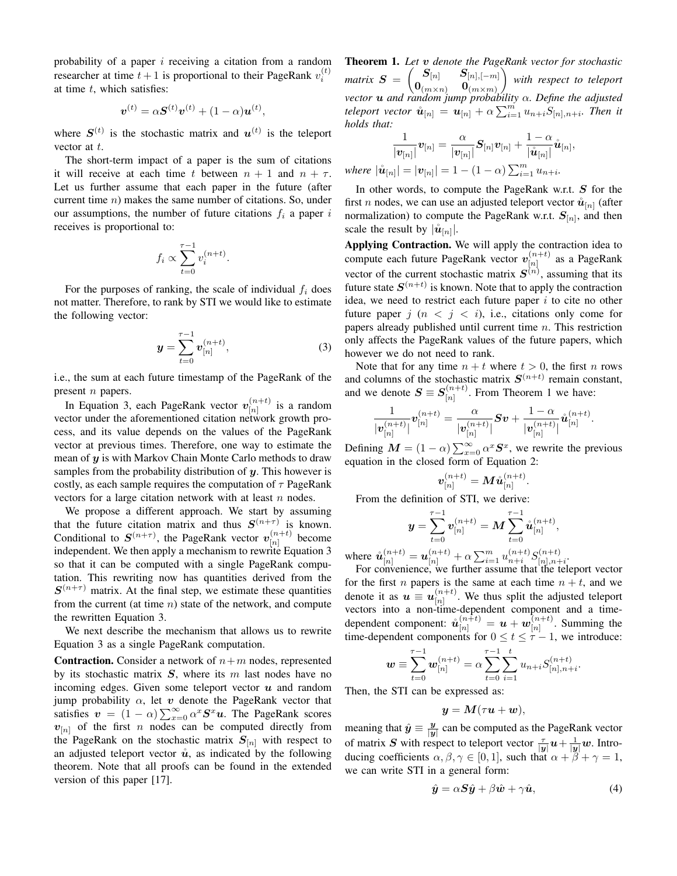probability of a paper  $i$  receiving a citation from a random researcher at time  $t + 1$  is proportional to their PageRank  $v_i^{(t)}$ at time  $t$ , which satisfies:

$$
\boldsymbol{v}^{(t)} = \alpha \boldsymbol{S}^{(t)} \boldsymbol{v}^{(t)} + (1 - \alpha) \boldsymbol{u}^{(t)},
$$

where  $S^{(t)}$  is the stochastic matrix and  $u^{(t)}$  is the teleport vector at  $t$ .

The short-term impact of a paper is the sum of citations it will receive at each time t between  $n + 1$  and  $n + \tau$ . Let us further assume that each paper in the future (after current time  $n)$  makes the same number of citations. So, under our assumptions, the number of future citations  $f_i$  a paper i receives is proportional to:

$$
f_i \propto \sum_{t=0}^{\tau-1} v_i^{(n+t)}
$$

For the purposes of ranking, the scale of individual  $f_i$  does not matter. Therefore, to rank by STI we would like to estimate the following vector:

$$
\mathbf{y} = \sum_{t=0}^{\tau-1} \mathbf{v}_{[n]}^{(n+t)},\tag{3}
$$

.

i.e., the sum at each future timestamp of the PageRank of the present *n* papers.

In Equation 3, each PageRank vector  $v_{[n]}^{(n+t)}$  $\binom{n+i}{[n]}$  is a random vector under the aforementioned citation network growth process, and its value depends on the values of the PageRank vector at previous times. Therefore, one way to estimate the mean of  $y$  is with Markov Chain Monte Carlo methods to draw samples from the probability distribution of  $y$ . This however is costly, as each sample requires the computation of  $\tau$  PageRank vectors for a large citation network with at least  $n$  nodes.

We propose a different approach. We start by assuming that the future citation matrix and thus  $S^{(n+\tau)}$  is known. Conditional to  $S^{(n+\tau)}$ , the PageRank vector  $v_{[n]}^{(n+\tau)}$  $\binom{n+i}{[n]}$  become independent. We then apply a mechanism to rewrite Equation 3 so that it can be computed with a single PageRank computation. This rewriting now has quantities derived from the  $S^{(n+\tau)}$  matrix. At the final step, we estimate these quantities from the current (at time  $n$ ) state of the network, and compute the rewritten Equation 3.

We next describe the mechanism that allows us to rewrite Equation 3 as a single PageRank computation.

**Contraction.** Consider a network of  $n+m$  nodes, represented by its stochastic matrix  $S$ , where its  $m$  last nodes have no incoming edges. Given some teleport vector  $u$  and random jump probability  $\alpha$ , let v denote the PageRank vector that satisfies  $\mathbf{v} = (1 - \alpha) \sum_{x=0}^{\infty} \alpha^x \mathbf{S}^x \mathbf{u}$ . The PageRank scores  $v_{[n]}$  of the first *n* nodes can be computed directly from the PageRank on the stochastic matrix  $S_{[n]}$  with respect to an adjusted teleport vector  $\dot{u}$ , as indicated by the following theorem. Note that all proofs can be found in the extended version of this paper [17].

Theorem 1. *Let* v *denote the PageRank vector for stochastic matrix*  $S = \begin{pmatrix} S_{[n]} & S_{[n],[-m]} \ 0 & 0 \end{pmatrix}$  $\mathbf{0}_{(m \times n)}$   $\mathbf{0}_{(m \times m)}$  *with respect to teleport vector* u *and random jump probability* α*. Define the adjusted teleport vector*  $\mathring{u}_{[n]} = \mathring{u}_{[n]} + \alpha \sum_{i=1}^{m} u_{n+i} S_{[n], n+i}$ . Then it *holds that:*

$$
\frac{1}{|\mathbf{v}_{[n]}|}\mathbf{v}_{[n]} = \frac{\alpha}{|\mathbf{v}_{[n]}|} \mathbf{S}_{[n]}\mathbf{v}_{[n]} + \frac{1-\alpha}{|\mathbf{u}_{[n]}|}\mathbf{u}_{[n]},
$$
  
where  $|\mathbf{u}_{[n]}| = |\mathbf{v}_{[n]}| = 1 - (1-\alpha) \sum_{i=1}^{m} u_{n+i}.$ 

In other words, to compute the PageRank w.r.t. S for the first *n* nodes, we can use an adjusted teleport vector  $\mathring{u}_{[n]}$  (after normalization) to compute the PageRank w.r.t.  $S_{[n]}$ , and then scale the result by  $|\mathring{u}_{[n]}|$ .

Applying Contraction. We will apply the contraction idea to compute each future PageRank vector  $v_{[n]}^{(n+t)}$  $\binom{n+i}{[n]}$  as a PageRank vector of the current stochastic matrix  $S^{(n)}$ , assuming that its future state  $S^{(n+t)}$  is known. Note that to apply the contraction idea, we need to restrict each future paper  $i$  to cite no other future paper  $j$  ( $n < j < i$ ), i.e., citations only come for papers already published until current time  $n$ . This restriction only affects the PageRank values of the future papers, which however we do not need to rank.

Note that for any time  $n + t$  where  $t > 0$ , the first n rows and columns of the stochastic matrix  $S^{(n+t)}$  remain constant, and we denote  $S \equiv S_{[n]}^{(n+t)}$  $\binom{n+1}{n}$ . From Theorem 1 we have:

$$
\frac{1}{|\bm{v}_{[n]}^{(n+t)}|}\bm{v}_{[n]}^{(n+t)}=\frac{\alpha}{|\bm{v}_{[n]}^{(n+t)}|}\bm{S}\bm{v}+\frac{1-\alpha}{|\bm{v}_{[n]}^{(n+t)}|}\mathring{\bm{u}}_{[n]}^{(n+t)}.
$$

Defining  $\mathbf{M} = (1 - \alpha) \sum_{x=0}^{\infty} \alpha^x \mathbf{S}^x$ , we rewrite the previous equation in the closed form of Equation 2:

$$
\bm{v}^{(n+t)}_{[n]} = \bm{M} \mathring{\bm{u}}^{(n+t)}_{[n]}.
$$

From the definition of STI, we derive:

$$
\mathbf{y} = \sum_{t=0}^{\tau-1} \mathbf{v}_{[n]}^{(n+t)} = \mathbf{M} \sum_{t=0}^{\tau-1} \mathring{u}_{[n]}^{(n+t)},
$$

where  $\mathring{u}_{[n]}^{(n+t)} = u_{[n]}^{(n+t)} + \alpha \sum_{i=1}^{m} u_{n+i}^{(n+t)} S_{[n],n+1}^{(n+t)}$  $\prod_{i=1}^{n}$ 

For convenience, we further assume that the teleport vector for the first *n* papers is the same at each time  $n + t$ , and we denote it as  $\mathbf{u} \equiv \mathbf{u}_{[n]}^{(n+t)}$  $\binom{n+t}{[n]}$ . We thus split the adjusted teleport vectors into a non-time-dependent component and a timedependent component:  $\mathring{\bm{u}}_{[n]}^{(n+ t)} = \bm{u} + \bm{w}_{[n]}^{(n+ t)}$  $\binom{n+1}{n}$ . Summing the time-dependent components for  $0 \le t \le \tau - 1$ , we introduce:

$$
\mathbf{w} \equiv \sum_{t=0}^{\tau-1} \mathbf{w}_{[n]}^{(n+t)} = \alpha \sum_{t=0}^{\tau-1} \sum_{i=1}^{t} u_{n+i} S_{[n], n+i}^{(n+t)}.
$$

Then, the STI can be expressed as:

$$
\boldsymbol{y} = \boldsymbol{M}(\tau \boldsymbol{u} + \boldsymbol{w}),
$$

meaning that  $\hat{y} \equiv \frac{y}{|y|}$  can be computed as the PageRank vector of matrix S with respect to teleport vector  $\frac{\tau}{|y|}u + \frac{1}{|y|}w$ . Introducing coefficients  $\alpha, \beta, \gamma \in [0, 1]$ , such that  $\alpha + \beta + \gamma = 1$ , we can write STI in a general form:

$$
\hat{\mathbf{y}} = \alpha \mathbf{S} \hat{\mathbf{y}} + \beta \hat{\mathbf{w}} + \gamma \hat{\mathbf{u}}, \tag{4}
$$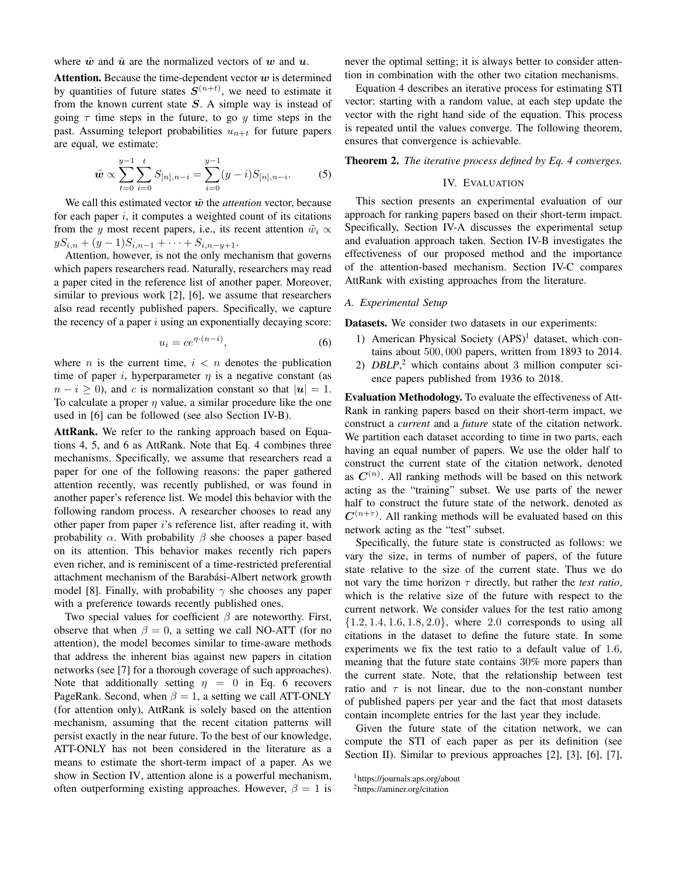where  $\hat{w}$  and  $\hat{u}$  are the normalized vectors of w and u.

Attention. Because the time-dependent vector  $w$  is determined by quantities of future states  $S^{(n+t)}$ , we need to estimate it from the known current state  $S$ . A simple way is instead of going  $\tau$  time steps in the future, to go y time steps in the past. Assuming teleport probabilities  $u_{n+t}$  for future papers are equal, we estimate:

$$
\tilde{\boldsymbol{w}} \propto \sum_{t=0}^{y-1} \sum_{i=0}^{t} S_{[n], n-i} = \sum_{i=0}^{y-1} (y-i) S_{[n], n-i}.
$$
 (5)

We call this estimated vector  $\tilde{w}$  the *attention* vector, because for each paper  $i$ , it computes a weighted count of its citations from the y most recent papers, i.e., its recent attention  $\tilde{w}_i \propto$  $yS_{i,n} + (y-1)S_{i,n-1} + \cdots + S_{i,n-y+1}.$ 

Attention, however, is not the only mechanism that governs which papers researchers read. Naturally, researchers may read a paper cited in the reference list of another paper. Moreover, similar to previous work [2], [6], we assume that researchers also read recently published papers. Specifically, we capture the recency of a paper  $i$  using an exponentially decaying score:

$$
u_i = ce^{\eta \cdot (n-i)},\tag{6}
$$

where *n* is the current time,  $i < n$  denotes the publication time of paper i, hyperparameter  $\eta$  is a negative constant (as  $n - i \geq 0$ , and c is normalization constant so that  $|u| = 1$ . To calculate a proper  $\eta$  value, a similar procedure like the one used in [6] can be followed (see also Section IV-B).

AttRank. We refer to the ranking approach based on Equations 4, 5, and 6 as AttRank. Note that Eq. 4 combines three mechanisms. Specifically, we assume that researchers read a paper for one of the following reasons: the paper gathered attention recently, was recently published, or was found in another paper's reference list. We model this behavior with the following random process. A researcher chooses to read any other paper from paper i's reference list, after reading it, with probability  $\alpha$ . With probability  $\beta$  she chooses a paper based on its attention. This behavior makes recently rich papers even richer, and is reminiscent of a time-restricted preferential attachment mechanism of the Barabási-Albert network growth model [8]. Finally, with probability  $\gamma$  she chooses any paper with a preference towards recently published ones.

Two special values for coefficient  $\beta$  are noteworthy. First, observe that when  $\beta = 0$ , a setting we call NO-ATT (for no attention), the model becomes similar to time-aware methods that address the inherent bias against new papers in citation networks (see [7] for a thorough coverage of such approaches). Note that additionally setting  $\eta = 0$  in Eq. 6 recovers PageRank. Second, when  $\beta = 1$ , a setting we call ATT-ONLY (for attention only), AttRank is solely based on the attention mechanism, assuming that the recent citation patterns will persist exactly in the near future. To the best of our knowledge, ATT-ONLY has not been considered in the literature as a means to estimate the short-term impact of a paper. As we show in Section IV, attention alone is a powerful mechanism, often outperforming existing approaches. However,  $\beta = 1$  is

never the optimal setting; it is always better to consider attention in combination with the other two citation mechanisms.

Equation 4 describes an iterative process for estimating STI vector: starting with a random value, at each step update the vector with the right hand side of the equation. This process is repeated until the values converge. The following theorem, ensures that convergence is achievable.

Theorem 2. *The iterative process defined by Eq. 4 converges.*

# IV. EVALUATION

This section presents an experimental evaluation of our approach for ranking papers based on their short-term impact. Specifically, Section IV-A discusses the experimental setup and evaluation approach taken. Section IV-B investigates the effectiveness of our proposed method and the importance of the attention-based mechanism. Section IV-C compares AttRank with existing approaches from the literature.

## *A. Experimental Setup*

Datasets. We consider two datasets in our experiments:

- 1) American Physical Society  $(APS)^1$  dataset, which contains about 500, 000 papers, written from 1893 to 2014.
- 2) *DBLP*, <sup>2</sup> which contains about 3 million computer science papers published from 1936 to 2018.

Evaluation Methodology. To evaluate the effectiveness of Att-Rank in ranking papers based on their short-term impact, we construct a *current* and a *future* state of the citation network. We partition each dataset according to time in two parts, each having an equal number of papers. We use the older half to construct the current state of the citation network, denoted as  $C^{(n)}$ . All ranking methods will be based on this network acting as the "training" subset. We use parts of the newer half to construct the future state of the network, denoted as  $C^{(n+\tau)}$ . All ranking methods will be evaluated based on this network acting as the "test" subset.

Specifically, the future state is constructed as follows: we vary the size, in terms of number of papers, of the future state relative to the size of the current state. Thus we do not vary the time horizon  $\tau$  directly, but rather the *test ratio*, which is the relative size of the future with respect to the current network. We consider values for the test ratio among  $\{1.2, 1.4, 1.6, 1.8, 2.0\}$ , where 2.0 corresponds to using all citations in the dataset to define the future state. In some experiments we fix the test ratio to a default value of 1.6, meaning that the future state contains 30% more papers than the current state. Note, that the relationship between test ratio and  $\tau$  is not linear, due to the non-constant number of published papers per year and the fact that most datasets contain incomplete entries for the last year they include.

Given the future state of the citation network, we can compute the STI of each paper as per its definition (see Section II). Similar to previous approaches [2], [3], [6], [7],

<sup>1</sup>https://journals.aps.org/about

<sup>2</sup>https://aminer.org/citation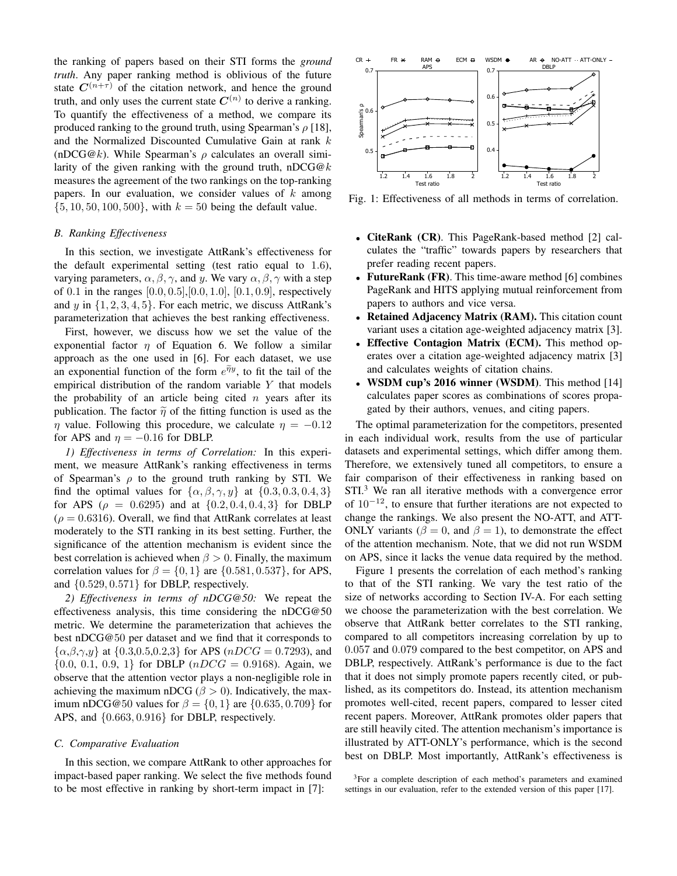the ranking of papers based on their STI forms the *ground truth*. Any paper ranking method is oblivious of the future state  $C^{(n+\tau)}$  of the citation network, and hence the ground truth, and only uses the current state  $C^{(n)}$  to derive a ranking. To quantify the effectiveness of a method, we compare its produced ranking to the ground truth, using Spearman's  $\rho$  [18], and the Normalized Discounted Cumulative Gain at rank k (nDCG@k). While Spearman's  $\rho$  calculates an overall similarity of the given ranking with the ground truth, nDCG@ $k$ measures the agreement of the two rankings on the top-ranking papers. In our evaluation, we consider values of  $k$  among  $\{5, 10, 50, 100, 500\}$ , with  $k = 50$  being the default value.

#### *B. Ranking Effectiveness*

In this section, we investigate AttRank's effectiveness for the default experimental setting (test ratio equal to 1.6), varying parameters,  $\alpha$ ,  $\beta$ ,  $\gamma$ , and y. We vary  $\alpha$ ,  $\beta$ ,  $\gamma$  with a step of 0.1 in the ranges  $[0.0, 0.5], [0.0, 1.0], [0.1, 0.9]$ , respectively and y in  $\{1, 2, 3, 4, 5\}$ . For each metric, we discuss AttRank's parameterization that achieves the best ranking effectiveness.

First, however, we discuss how we set the value of the exponential factor  $\eta$  of Equation 6. We follow a similar approach as the one used in [6]. For each dataset, we use an exponential function of the form  $e^{\tilde{\eta}y}$ , to fit the tail of the empirical distribution of the random variable  $Y$  that models the probability of an article being cited  $n$  years after its publication. The factor  $\tilde{\eta}$  of the fitting function is used as the  $\eta$  value. Following this procedure, we calculate  $\eta = -0.12$ for APS and  $\eta = -0.16$  for DBLP.

*1) Effectiveness in terms of Correlation:* In this experiment, we measure AttRank's ranking effectiveness in terms of Spearman's  $\rho$  to the ground truth ranking by STI. We find the optimal values for  $\{\alpha, \beta, \gamma, y\}$  at  $\{0.3, 0.3, 0.4, 3\}$ for APS ( $\rho = 0.6295$ ) and at  $\{0.2, 0.4, 0.4, 3\}$  for DBLP  $(\rho = 0.6316)$ . Overall, we find that AttRank correlates at least moderately to the STI ranking in its best setting. Further, the significance of the attention mechanism is evident since the best correlation is achieved when  $\beta > 0$ . Finally, the maximum correlation values for  $\beta = \{0, 1\}$  are  $\{0.581, 0.537\}$ , for APS, and {0.529, 0.571} for DBLP, respectively.

*2) Effectiveness in terms of nDCG@50:* We repeat the effectiveness analysis, this time considering the nDCG@50 metric. We determine the parameterization that achieves the best nDCG@50 per dataset and we find that it corresponds to  $\{\alpha, \beta, \gamma, y\}$  at  $\{0.3, 0.5, 0.2, 3\}$  for APS ( $nDCG = 0.7293$ ), and  $\{0.0, 0.1, 0.9, 1\}$  for DBLP ( $nDCG = 0.9168$ ). Again, we observe that the attention vector plays a non-negligible role in achieving the maximum nDCG ( $\beta > 0$ ). Indicatively, the maximum nDCG@50 values for  $\beta = \{0, 1\}$  are  $\{0.635, 0.709\}$  for APS, and {0.663, 0.916} for DBLP, respectively.

#### *C. Comparative Evaluation*

In this section, we compare AttRank to other approaches for impact-based paper ranking. We select the five methods found to be most effective in ranking by short-term impact in [7]:



Fig. 1: Effectiveness of all methods in terms of correlation.

- CiteRank (CR). This PageRank-based method [2] calculates the "traffic" towards papers by researchers that prefer reading recent papers.
- FutureRank (FR). This time-aware method [6] combines PageRank and HITS applying mutual reinforcement from papers to authors and vice versa.
- Retained Adjacency Matrix (RAM). This citation count variant uses a citation age-weighted adjacency matrix [3].
- Effective Contagion Matrix (ECM). This method operates over a citation age-weighted adjacency matrix [3] and calculates weights of citation chains.
- WSDM cup's 2016 winner (WSDM). This method [14] calculates paper scores as combinations of scores propagated by their authors, venues, and citing papers.

The optimal parameterization for the competitors, presented in each individual work, results from the use of particular datasets and experimental settings, which differ among them. Therefore, we extensively tuned all competitors, to ensure a fair comparison of their effectiveness in ranking based on STI.<sup>3</sup> We ran all iterative methods with a convergence error of 10<sup>−</sup><sup>12</sup>, to ensure that further iterations are not expected to change the rankings. We also present the NO-ATT, and ATT-ONLY variants ( $\beta = 0$ , and  $\beta = 1$ ), to demonstrate the effect of the attention mechanism. Note, that we did not run WSDM on APS, since it lacks the venue data required by the method.

Figure 1 presents the correlation of each method's ranking to that of the STI ranking. We vary the test ratio of the size of networks according to Section IV-A. For each setting we choose the parameterization with the best correlation. We observe that AttRank better correlates to the STI ranking, compared to all competitors increasing correlation by up to 0.057 and 0.079 compared to the best competitor, on APS and DBLP, respectively. AttRank's performance is due to the fact that it does not simply promote papers recently cited, or published, as its competitors do. Instead, its attention mechanism promotes well-cited, recent papers, compared to lesser cited recent papers. Moreover, AttRank promotes older papers that are still heavily cited. The attention mechanism's importance is illustrated by ATT-ONLY's performance, which is the second best on DBLP. Most importantly, AttRank's effectiveness is

<sup>&</sup>lt;sup>3</sup>For a complete description of each method's parameters and examined settings in our evaluation, refer to the extended version of this paper [17].